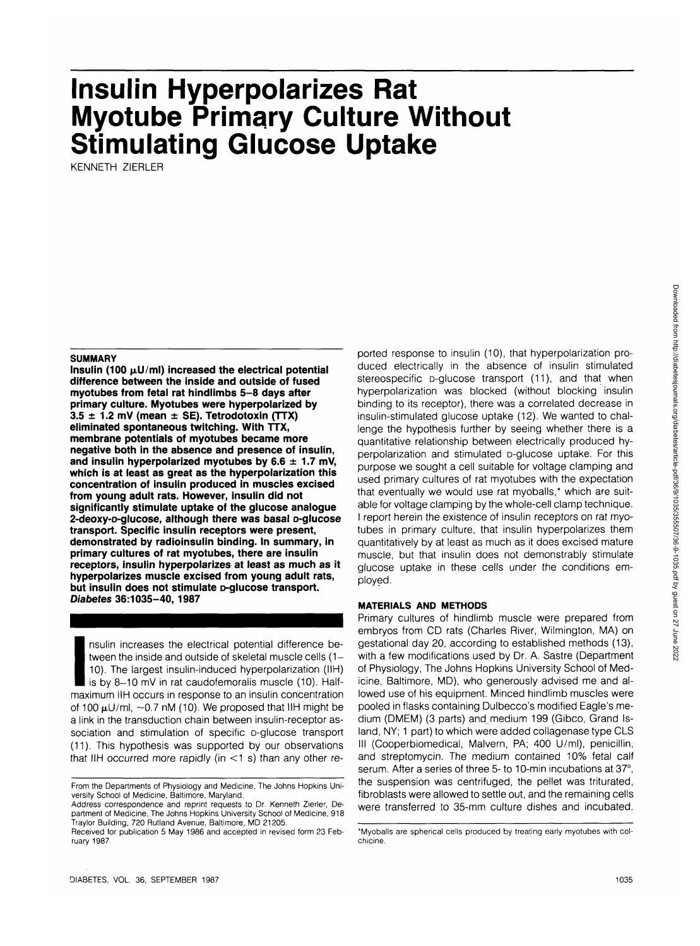# **Insulin Hyperpolarizes Rat Myotube Primary Culture Without Stimulating Glucose Uptake**

KENNETH ZIERLER

#### **SUMMARY**

Insulin (100  $\mu$ U/ml) increased the electrical potential **difference between the inside and outside of fused myotubes from fetal rat hindlimbs 5-8 days after primary culture. Myotubes were hyperpolarized by 3.5 ± 1.2 mV (mean ± SE). Tetrodotoxin (TTX) eliminated spontaneous twitching. With TTX, membrane potentials of myotubes became more negative both in the absence and presence of insulin,** and insulin hyperpolarized myotubes by  $6.6 \pm 1.7$  mV, **which is at least as great as the hyperpolarization this concentration of insulin produced in muscles excised from young adult rats. However, insulin did not significantly stimulate uptake of the glucose analogue 2-deoxy-D-glucose, although there was basal D-glucose transport. Specific insulin receptors were present, demonstrated by radioinsulin binding. In summary, in primary cultures of rat myotubes, there are insulin receptors, insulin hyperpolarizes at least as much as it hyperpolarizes muscle excised from young adult rats, but insulin does not stimulate D-glucose transport. Diabetes 36:1035-40, 1987**

Diabe<br>
International<br>
International<br>
International<br>
International<br>
International<br>
International<br>
International<br>
International<br>
International<br>
International<br>
International<br>
International nsulin increases the electrical potential difference between the inside and outside of skeletal muscle cells (1-10). The largest insulin-induced hyperpolarization (IIH) is by 8-10 mV in rat caudofemoralis muscle (10). Halfmaximum IIH occurs in response to an insulin concentration of 100  $\mu$ U/ml,  $\sim$ 0.7 nM (10). We proposed that IIH might be a link in the transduction chain between insulin-receptor association and stimulation of specific D-glucose transport (11). This hypothesis was supported by our observations that IIH occurred more rapidly (in  $<$ 1 s) than any other reported response to insulin (10), that hyperpolarization produced electrically in the absence of insulin stimulated stereospecific D-glucose transport (11), and that when hyperpolarization was blocked (without blocking insulin binding to its receptor), there was a correlated decrease in insulin-stimulated glucose uptake (12). We wanted to challenge the hypothesis further by seeing whether there is a quantitative relationship between electrically produced hyperpolarization and stimulated D-glucose uptake. For this purpose we sought a cell suitable for voltage clamping and used primary cultures of rat myotubes with the expectation that eventually we would use rat myoballs,\* which are suitable for voltage clamping by the whole-cell clamp technique. I report herein the existence of insulin receptors on rat myotubes in primary culture, that insulin hyperpolarizes them quantitatively by at least as much as it does excised mature muscle, but that insulin does not demonstrably stimulate glucose uptake in these cells under the conditions employed.

## **MATERIALS AND METHODS**

Primary cultures of hindlimb muscle were prepared from embryos from CD rats (Charles River, Wilmington, MA) on gestational day 20, according to established methods (13), with a few modifications used by Dr. A. Sastre (Department of Physiology, The Johns Hopkins University School of Medicine, Baltimore, MD), who generously advised me and allowed use of his equipment. Minced hindlimb muscles were pooled in flasks containing Dulbecco's modified Eagle's medium (DMEM) (3 parts) and medium 199 (Gibco, Grand Island, NY; 1 part) to which were added collagenase type CLS III (Cooperbiomedical, Malvern, PA; 400 U/ml), penicillin, and streptomycin. The medium contained 10% fetal calf serum. After a series of three 5- to 10-min incubations at 37°, the suspension was centrifuged, the pellet was triturated, fibroblasts were allowed to settle out, and the remaining cells were transferred to 35-mm culture dishes and incubated.

From the Departments of Physiology and Medicine, The Johns Hopkins University School of Medicine, Baltimore, Maryland.

Address correspondence and reprint requests to Dr. Kenneth Zierler, Department of Medicine, The Johns Hopkins University School of Medicine, 918 Traylor Building, 720 Rutland Avenue, Baltimore, MD 21205.

Received for publication 5 May 1986 and accepted in revised form 23 February 1987.

<sup>\*</sup>Myoballs are spherical cells produced by treating early myotubes with colchicine.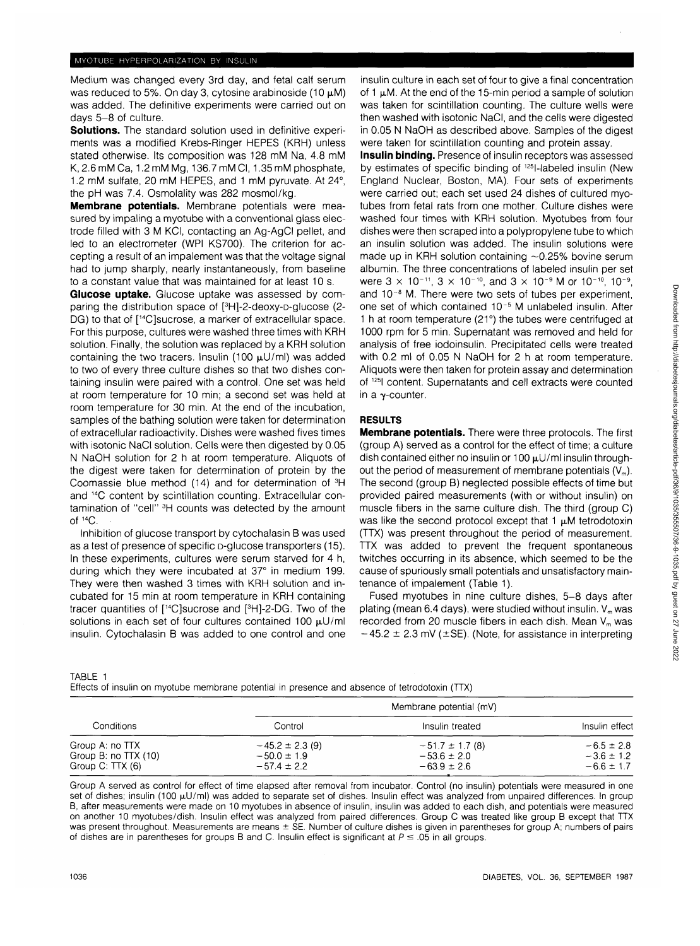Medium was changed every 3rd day, and fetal calf serum was reduced to 5%. On day 3, cytosine arabinoside (10  $\mu$ M) was added. The definitive experiments were carried out on days 5-8 of culture.

**Solutions.** The standard solution used in definitive experiments was a modified Krebs-Ringer HEPES (KRH) unless stated otherwise. Its composition was 128 mM Na, 4.8 mM K, 2.6 mM Ca, 1.2 mM Mg, 136.7 mM Cl, 1.35 mM phosphate, 1.2 mM sulfate, 20 mM HEPES, and 1 mM pyruvate. At 24°, the pH was 7.4. Osmolality was 282 mosmol/kg.

**Membrane potentials.** Membrane potentials were measured by impaling a myotube with a conventional glass electrode filled with 3 M KCI, contacting an Ag-AgCI pellet, and led to an electrometer (WPI KS700). The criterion for accepting a result of an impalement was that the voltage signal had to jump sharply, nearly instantaneously, from baseline to a constant value that was maintained for at least 10 s.

**Glucose uptake.** Glucose uptake was assessed by comparing the distribution space of [<sup>3</sup> H]-2-deoxy-D-glucose (2- DG) to that of [<sup>14</sup>C]sucrose, a marker of extracellular space. For this purpose, cultures were washed three times with KRH solution. Finally, the solution was replaced by a KRH solution containing the two tracers. Insulin (100  $\mu$ U/ml) was added to two of every three culture dishes so that two dishes containing insulin were paired with a control. One set was held at room temperature for 10 min; a second set was held at room temperature for 30 min. At the end of the incubation, samples of the bathing solution were taken for determination of extracellular radioactivity. Dishes were washed fives times with isotonic NaCI solution. Cells were then digested by 0.05 N NaOH solution for 2 h at room temperature. Aliquots of the digest were taken for determination of protein by the Coomassie blue method (14) and for determination of <sup>3</sup>H and 14C content by scintillation counting. Extracellular contamination of "cell" <sup>3</sup>H counts was detected by the amount of  ${}^{14}C.$   $\blacksquare$ 

Inhibition of glucose transport by cytochalasin B was used as a test of presence of specific D-glucose transporters (15). In these experiments, cultures were serum starved for 4 h, during which they were incubated at 37° in medium 199. They were then washed 3 times with KRH solution and incubated for 15 min at room temperature in KRH containing tracer quantities of [14C]sucrose and [3 H]-2-DG. Two of the solutions in each set of four cultures contained 100  $\mu$ U/ml insulin. Cytochalasin B was added to one control and one insulin culture in each set of four to give a final concentration of 1  $\mu$ M. At the end of the 15-min period a sample of solution was taken for scintillation counting. The culture wells were then washed with isotonic NaCI, and the cells were digested in 0.05 N NaOH as described above. Samples of the digest were taken for scintillation counting and protein assay.

**Insulin binding.** Presence of insulin receptors was assessed by estimates of specific binding of <sup>125</sup>l-labeled insulin (New England Nuclear, Boston, MA). Four sets of experiments were carried out; each set used 24 dishes of cultured myotubes from fetal rats from one mother. Culture dishes were washed four times with KRH solution. Myotubes from four dishes were then scraped into a polypropylene tube to which an insulin solution was added. The insulin solutions were made up in KRH solution containing  $\sim$  0.25% bovine serum albumin. The three concentrations of labeled insulin per set were 3  $\times$  10<sup>-11</sup>, 3  $\times$  10<sup>-10</sup>, and 3  $\times$  10<sup>-9</sup> M or 10<sup>-10</sup>, 10<sup>-9</sup>, and  $10^{-8}$  M. There were two sets of tubes per experiment, one set of which contained 10<sup>-5</sup> M unlabeled insulin. After 1 h at room temperature (21°) the tubes were centrifuged at 1000 rpm for 5 min. Supernatant was removed and held for analysis of free iodoinsulin. Precipitated cells were treated with 0.2 ml of 0.05 N NaOH for 2 h at room temperature. Aliquots were then taken for protein assay and determination of <sup>125</sup>I content. Supernatants and cell extracts were counted in a  $\gamma$ -counter.

## **RESULTS**

**Membrane potentials.** There were three protocols. The first (group A) served as a control for the effect of time; a culture dish contained either no insulin or 100  $\mu$ U/ml insulin throughout the period of measurement of membrane potentials  $(V_m)$ . The second (group B) neglected possible effects of time but provided paired measurements (with or without insulin) on muscle fibers in the same culture dish. The third (group C) was like the second protocol except that  $1 \mu M$  tetrodotoxin (TTX) was present throughout the period of measurement. TTX was added to prevent the frequent spontaneous twitches occurring in its absence, which seemed to be the cause of spuriously small potentials and unsatisfactory maintenance of impalement (Table 1).

Fused myotubes in nine culture dishes, 5-8 days after plating (mean 6.4 days), were studied without insulin.  $V_m$  was recorded from 20 muscle fibers in each dish. Mean  $V_m$  was  $-45.2 \pm 2.3$  mV ( $\pm$ SE). (Note, for assistance in interpreting

TABLE 1 Effects of insulin on myotube membrane potential in presence and absence of tetrodotoxin (TTX)

| <b>Conditions</b>    | Membrane potential (mV) |                    |                |  |
|----------------------|-------------------------|--------------------|----------------|--|
|                      | Control                 | Insulin treated    | Insulin effect |  |
| Group A: no TTX      | $-45.2 \pm 2.3$ (9)     | $-51.7 \pm 1.7(8)$ | $-6.5 \pm 2.8$ |  |
| Group B: no TTX (10) | $-50.0 \pm 1.9$         | $-53.6 \pm 2.0$    | $-3.6 \pm 1.2$ |  |
| Group C: TTX (6)     | $-57.4 \pm 2.2$         | $-63.9 \pm 2.6$    | $-6.6 \pm 1.7$ |  |

Group A served as control for effect of time elapsed after removal from incubator. Control (no insulin) potentials were measured in one set of dishes; insulin (100 µU/ml) was added to separate set of dishes. Insulin effect was analyzed from unpaired differences. In group B, after measurements were made on 10 myotubes in absence of insulin, insulin was added to each dish, and potentials were measured on another 10 myotubes/dish. Insulin effect was analyzed from paired differences. Group C was treated like group B except that TTX was present throughout. Measurements are means  $\pm$  SE. Number of culture dishes is given in parentheses for group A; numbers of pairs of dishes are in parentheses for groups B and C. Insulin effect is significant at  $P \le .05$  in all groups.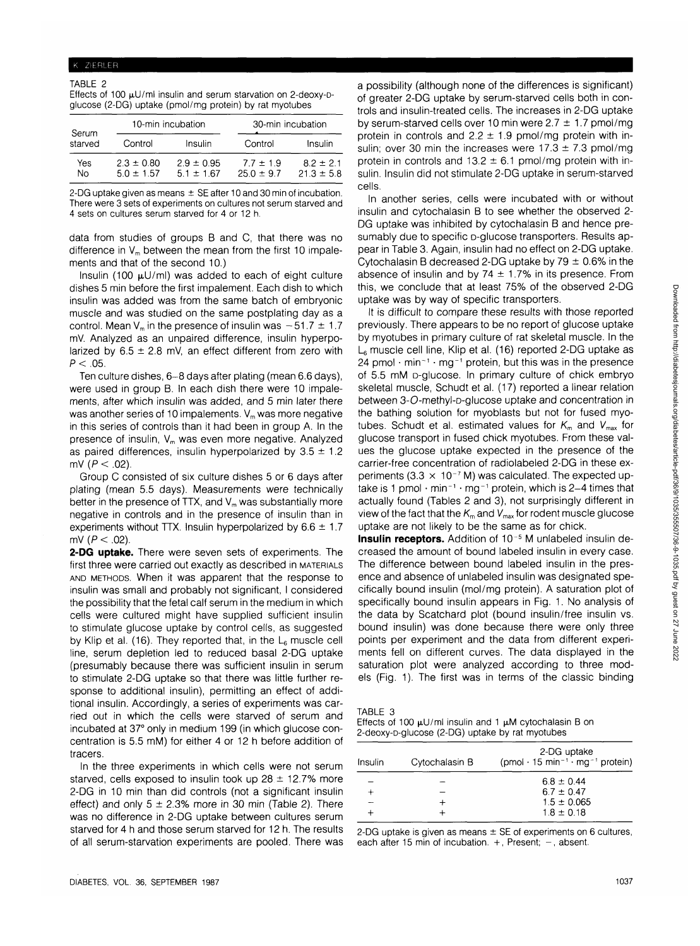TABLE 2

| Effects of 100 $\mu$ U/ml insulin and serum starvation on 2-deoxy-D- |
|----------------------------------------------------------------------|
| glucose (2-DG) uptake (pmol/mg protein) by rat myotubes              |

| Serum<br>starved | 10-min incubation                |                                | 30-min incubation               |                                 |
|------------------|----------------------------------|--------------------------------|---------------------------------|---------------------------------|
|                  | Control                          | Insulin                        | Control                         | Insulin                         |
| Yes<br>Nο        | $2.3 \pm 0.80$<br>$5.0 \pm 1.57$ | $2.9 \pm 0.95$<br>$51 \pm 167$ | $7.7 \pm 1.9$<br>$25.0 \pm 9.7$ | $8.2 \pm 2.1$<br>$21.3 \pm 5.8$ |

2-DG uptake given as means  $\pm$  SE after 10 and 30 min of incubation. There were 3 sets of experiments on cultures not serum starved and 4 sets on cultures serum starved for 4 or 12 h.

data from studies of groups B and C, that there was no difference in  $V_m$  between the mean from the first 10 impalements and that of the second 10.)

Insulin (100  $\mu$ U/ml) was added to each of eight culture dishes 5 min before the first impalement. Each dish to which insulin was added was from the same batch of embryonic muscle and was studied on the same postplating day as a control. Mean  $V_m$  in the presence of insulin was  $-51.7 \pm 1.7$ mV. Analyzed as an unpaired difference, insulin hyperpolarized by  $6.5 \pm 2.8$  mV, an effect different from zero with  $P < 0.05$ .

Ten culture dishes, 6-8 days after plating (mean 6.6 days), were used in group B. In each dish there were 10 impalements, after which insulin was added, and 5 min later there was another series of 10 impalements.  $V<sub>m</sub>$  was more negative in this series of controls than it had been in group A. In the presence of insulin, V<sub>m</sub> was even more negative. Analyzed as paired differences, insulin hyperpolarized by  $3.5 \pm 1.2$ mV ( $P < .02$ ).

Group C consisted of six culture dishes 5 or 6 days after plating (mean 5.5 days). Measurements were technically better in the presence of TTX, and  $V_m$  was substantially more negative in controls and in the presence of insulin than in experiments without TTX. Insulin hyperpolarized by  $6.6 \pm 1.7$ mV ( $P < .02$ ).

**2-DG uptake.** There were seven sets of experiments. The first three were carried out exactly as described in MATERIALS AND METHODS. When it was apparent that the response to insulin was small and probably not significant, I considered the possibility that the fetal calf serum in the medium in which cells were cultured might have supplied sufficient insulin to stimulate glucose uptake by control cells, as suggested by Klip et al. (16). They reported that, in the  $L_6$  muscle cell line, serum depletion led to reduced basal 2-DG uptake (presumably because there was sufficient insulin in serum to stimulate 2-DG uptake so that there was little further response to additional insulin), permitting an effect of additional insulin. Accordingly, a series of experiments was carried out in which the cells were starved of serum and incubated at 37° only in medium 199 (in which glucose concentration is 5.5 mM) for either 4 or 12 h before addition of tracers.

In the three experiments in which cells were not serum starved, cells exposed to insulin took up  $28 \pm 12.7\%$  more 2-DG in 10 min than did controls (not a significant insulin effect) and only  $5 \pm 2.3$ % more in 30 min (Table 2). There was no difference in 2-DG uptake between cultures serum starved for 4 h and those serum starved for 12 h. The results of all serum-starvation experiments are pooled. There was

a possibility (although none of the differences is significant) of greater 2-DG uptake by serum-starved cells both in controls and insulin-treated cells. The increases in 2-DG uptake by serum-starved cells over 10 min were  $2.7 \pm 1.7$  pmol/mg protein in controls and  $2.2 \pm 1.9$  pmol/mg protein with insulin; over 30 min the increases were  $17.3 \pm 7.3$  pmol/mg protein in controls and  $13.2 \pm 6.1$  pmol/mg protein with insulin. Insulin did not stimulate 2-DG uptake in serum-starved cells.

In another series, cells were incubated with or without insulin and cytochalasin B to see whether the observed 2- DG uptake was inhibited by cytochalasin B and hence presumably due to specific p-glucose transporters. Results appear in Table 3. Again, insulin had no effect on 2-DG uptake. Cytochalasin B decreased 2-DG uptake by  $79 \pm 0.6\%$  in the absence of insulin and by  $74 \pm 1.7\%$  in its presence. From this, we conclude that at least 75% of the observed 2-DG uptake was by way of specific transporters.

It is difficult to compare these results with those reported previously. There appears to be no report of glucose uptake by myotubes in primary culture of rat skeletal muscle. In the  $L_6$  muscle cell line, Klip et al. (16) reported 2-DG uptake as 24 pmol  $\cdot$  min<sup>-1</sup>  $\cdot$  mg<sup>-1</sup> protein, but this was in the presence of 5.5 mM D-glucose. In primary culture of chick embryo skeletal muscle, Schudt et al. (17) reported a linear relation between 3-O-methyl-D-glucose uptake and concentration in the bathing solution for myoblasts but not for fused myotubes. Schudt et al. estimated values for  $K<sub>m</sub>$  and  $V<sub>max</sub>$  for glucose transport in fused chick myotubes. From these values the glucose uptake expected in the presence of the carrier-free concentration of radiolabeled 2-DG in these experiments (3.3  $\times$  10<sup>-7</sup> M) was calculated. The expected uptake is 1 pmol  $\cdot$  min<sup>-1</sup>  $\cdot$  mg<sup>-1</sup> protein, which is 2-4 times that actually found (Tables 2 and 3), not surprisingly different in view of the fact that the  $K<sub>m</sub>$  and  $V<sub>max</sub>$  for rodent muscle glucose uptake are not likely to be the same as for chick.

**Insulin receptors.** Addition of 10<sup>-5</sup> M unlabeled insulin decreased the amount of bound labeled insulin in every case. The difference between bound labeled insulin in the presence and absence of unlabeled insulin was designated specifically bound insulin (mol/mg protein). A saturation plot of specifically bound insulin appears in Fig. 1. No analysis of the data by Scatchard plot (bound insulin/free insulin vs. bound insulin) was done because there were only three points per experiment and the data from different experiments fell on different curves. The data displayed in the saturation plot were analyzed according to three models (Fig. 1). The first was in terms of the classic binding

TABLE 3

Effects of 100  $\mu$ U/ml insulin and 1  $\mu$ M cytochalasin B on 2-deoxy-D-glucose (2-DG) uptake by rat myotubes

| Insulin | Cytochalasin B | 2-DG uptake<br>(pmol $\cdot$ 15 min <sup>-1</sup> $\cdot$ mg <sup>-1</sup> protein) |
|---------|----------------|-------------------------------------------------------------------------------------|
|         |                | $6.8 \pm 0.44$                                                                      |
|         |                | $6.7 \pm 0.47$                                                                      |
|         |                | $1.5 \pm 0.065$                                                                     |
|         |                | $1.8 \pm 0.18$                                                                      |

2-DG uptake is given as means  $\pm$  SE of experiments on 6 cultures, each after 15 min of incubation.  $+$ , Present;  $-$ , absent.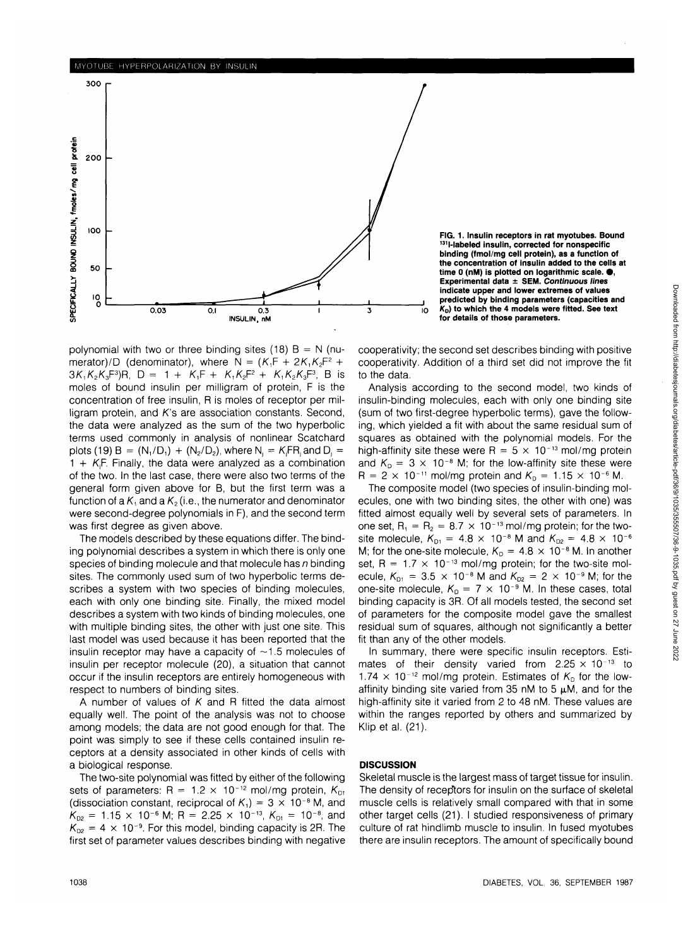## MYOTUBE HYPERPOLARIZATION BY



**FIG. 1. Insulin receptors in rat myotubes. Bound 131l-labeled insulin, corrected for nonspecific binding (fmol/mg cell protein), as a function of the concentration of insulin added to the cells at** time 0 (nM) is plotted on logarithmic scale.  $\bullet$ , **Experimental data ± SEM. Continuous lines indicate upper and lower extremes of values predicted by binding parameters (capacities and**  $K_{\text{D}}$ ) to which the 4 models were fitted. See text **for details of those parameters.**

polynomial with two or three binding sites (18)  $B = N$  (numerator)/D (denominator), where  $N = (K_1F + 2K_1K_2F^2 +$  $3K_1K_2K_3F^3$ )R, D = 1 + K<sub>1</sub>F + K<sub>1</sub>K<sub>2</sub>F<sup>2</sup> + K<sub>1</sub>K<sub>2</sub>K<sub>3</sub>F<sup>3</sup>, B is moles of bound insulin per milligram of protein, F is the concentration of free insulin, R is moles of receptor per milligram protein, and K's are association constants. Second, the data were analyzed as the sum of the two hyperbolic terms used commonly in analysis of nonlinear Scatchard plots (19) B =  $(N_1/D_1) + (N_2/D_2)$ , where  $N_i = K_iFR_i$  and  $D_i =$  $1 + K$ F. Finally, the data were analyzed as a combination of the two. In the last case, there were also two terms of the general form given above for B, but the first term was a function of a  $K_1$  and a  $K_2$  (i.e., the numerator and denominator were second-degree polynomials in F), and the second term was first degree as given above.

The models described by these equations differ. The binding polynomial describes a system in which there is only one species of binding molecule and that molecule has n binding sites. The commonly used sum of two hyperbolic terms describes a system with two species of binding molecules, each with only one binding site. Finally, the mixed model describes a system with two kinds of binding molecules, one with multiple binding sites, the other with just one site. This last model was used because it has been reported that the insulin receptor may have a capacity of  $\sim$  1.5 molecules of insulin per receptor molecule (20), a situation that cannot occur if the insulin receptors are entirely homogeneous with respect to numbers of binding sites.

A number of values of  $K$  and R fitted the data almost equally well. The point of the analysis was not to choose among models; the data are not good enough for that. The point was simply to see if these cells contained insulin receptors at a density associated in other kinds of cells with a biological response.

The two-site polynomial was fitted by either of the following sets of parameters: R =  $1.2 \times 10^{-12}$  mol/mg protein,  $K_{01}$ (dissociation constant, reciprocal of  $K_1$ ) = 3  $\times$  10<sup>-8</sup> M, and  $K_{D2} = 1.15 \times 10^{-6}$  M; R = 2.25  $\times$  10<sup>-13</sup>,  $K_{D1} = 10^{-8}$ , and  $K_{D2} = 4 \times 10^{-9}$ . For this model, binding capacity is 2R. The first set of parameter values describes binding with negative cooperativity; the second set describes binding with positive cooperativity. Addition of a third set did not improve the fit to the data.

Analysis according to the second model, two kinds of insulin-binding molecules, each with only one binding site (sum of two first-degree hyperbolic terms), gave the following, which yielded a fit with about the same residual sum of squares as obtained with the polynomial models. For the high-affinity site these were R =  $5 \times 10^{-13}$  mol/mg protein and  $K_{\text{D}} = 3 \times 10^{-8}$  M; for the low-affinity site these were  $R = 2 \times 10^{-11}$  mol/mg protein and  $K_{D} = 1.15 \times 10^{-6}$  M.

The composite model (two species of insulin-binding molecules, one with two binding sites, the other with one) was fitted almost equally well by several sets of parameters. In one set,  $R_1 = R_2 = 8.7 \times 10^{-13}$  mol/mg protein; for the twosite molecule,  $K_{D1} = 4.8 \times 10^{-8}$  M and  $K_{D2} = 4.8 \times 10^{-6}$ M; for the one-site molecule,  $K_{\text{D}} = 4.8 \times 10^{-8}$  M. In another set,  $R = 1.7 \times 10^{-13}$  mol/mg protein; for the two-site molecule,  $K_{D1} = 3.5 \times 10^{-8}$  M and  $K_{D2} = 2 \times 10^{-9}$  M; for the one-site molecule,  $K_{\text{D}} = 7 \times 10^{-9}$  M. In these cases, total binding capacity is 3R. Of all models tested, the second set of parameters for the composite model gave the smallest residual sum of squares, although not significantly a better fit than any of the other models.

In summary, there were specific insulin receptors. Estimates of their density varied from  $2.25 \times 10^{-13}$  to 1.74  $\times$  10<sup>-12</sup> mol/mg protein. Estimates of  $K_{D}$  for the lowaffinity binding site varied from 35 nM to 5  $\mu$ M, and for the high-affinity site it varied from 2 to 48 nM. These values are within the ranges reported by others and summarized by Klipetal. (21).

## **DISCUSSION**

Skeletal muscle is the largest mass of target tissue for insulin. The density of receptors for insulin on the surface of skeletal muscle cells is relatively small compared with that in some other target cells (21). I studied responsiveness of primary culture of rat hindlimb muscle to insulin. In fused myotubes there are insulin receptors. The amount of specifically bound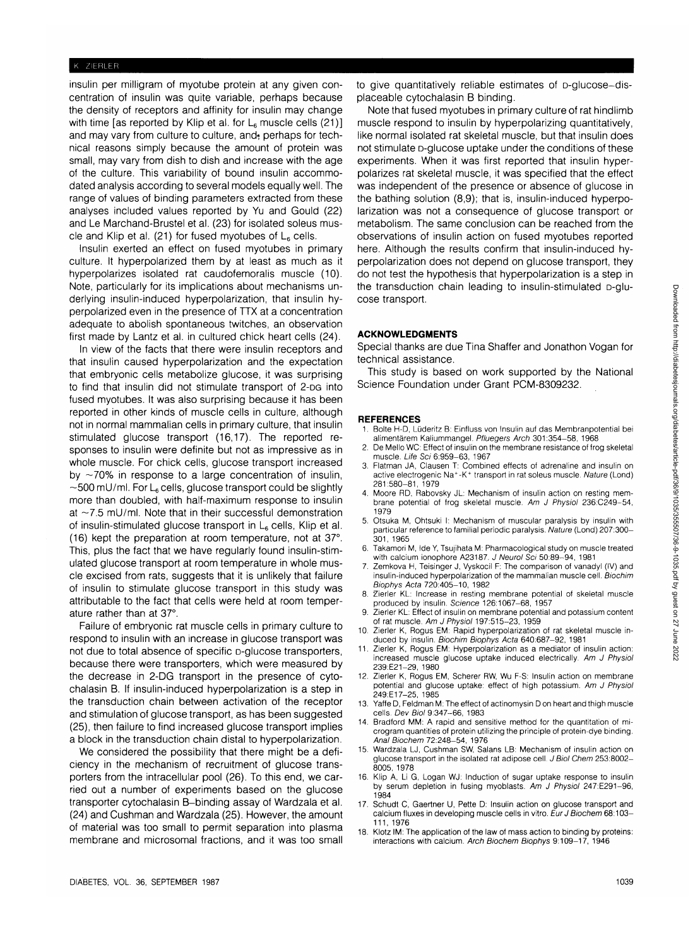## ZIERLER

insulin per milligram of myotube protein at any given concentration of insulin was quite variable, perhaps because the density of receptors and affinity for insulin may change with time [as reported by Klip et al. for  $L_6$  muscle cells (21)] and may vary from culture to culture, and, perhaps for technical reasons simply because the amount of protein was small, may vary from dish to dish and increase with the age of the culture. This variability of bound insulin accommodated analysis according to several models equally well. The range of values of binding parameters extracted from these analyses included values reported by Yu and Gould (22) and Le Marchand-Brustel et al. (23) for isolated soleus muscle and Klip et al. (21) for fused myotubes of  $L_6$  cells.

Insulin exerted an effect on fused myotubes in primary culture. It hyperpolarized them by at least as much as it hyperpolarizes isolated rat caudofemoralis muscle (10). Note, particularly for its implications about mechanisms underlying insulin-induced hyperpolarization, that insulin hyperpolarized even in the presence of TTX at a concentration adequate to abolish spontaneous twitches, an observation first made by Lantz et al. in cultured chick heart cells (24).

In view of the facts that there were insulin receptors and that insulin caused hyperpolarization and the expectation that embryonic cells metabolize glucose, it was surprising to find that insulin did not stimulate transport of 2-DG into fused myotubes. It was also surprising because it has been reported in other kinds of muscle cells in culture, although not in normal mammalian cells in primary culture, that insulin stimulated glucose transport (16,17). The reported responses to insulin were definite but not as impressive as in whole muscle. For chick cells, glucose transport increased by  $\sim$ 70% in response to a large concentration of insulin,  $\sim$ 500 mU/ml. For L<sub>6</sub> cells, glucose transport could be slightly more than doubled, with half-maximum response to insulin at  $\sim$ 7.5 mU/ml. Note that in their successful demonstration of insulin-stimulated glucose transport in  $L_6$  cells, Klip et al. (16) kept the preparation at room temperature, not at 37°. This, plus the fact that we have regularly found insulin-stimulated glucose transport at room temperature in whole muscle excised from rats, suggests that it is unlikely that failure of insulin to stimulate glucose transport in this study was attributable to the fact that cells were held at room temperature rather than at 37°.

Failure of embryonic rat muscle cells in primary culture to respond to insulin with an increase in glucose transport was not due to total absence of specific D-glucose transporters, because there were transporters, which were measured by the decrease in 2-DG transport in the presence of cytochalasin B. If insulin-induced hyperpolarization is a step in the transduction chain between activation of the receptor and stimulation of glucose transport, as has been suggested (25), then failure to find increased glucose transport implies a block in the transduction chain distal to hyperpolarization.

We considered the possibility that there might be a deficiency in the mechanism of recruitment of glucose transporters from the intracellular pool (26). To this end, we carried out a number of experiments based on the glucose transporter cytochalasin B-binding assay of Wardzala et al. (24) and Cushman and Wardzala (25). However, the amount of material was too small to permit separation into plasma membrane and microsomal fractions, and it was too small to give quantitatively reliable estimates of D-glucose-displaceable cytochalasin B binding.

Note that fused myotubes in primary culture of rat hindlimb muscle respond to insulin by hyperpolarizing quantitatively, like normal isolated rat skeletal muscle, but that insulin does not stimulate D-glucose uptake under the conditions of these experiments. When it was first reported that insulin hyperpolarizes rat skeletal muscle, it was specified that the effect was independent of the presence or absence of glucose in the bathing solution (8,9); that is, insulin-induced hyperpolarization was not a consequence of glucose transport or metabolism. The same conclusion can be reached from the observations of insulin action on fused myotubes reported here. Although the results confirm that insulin-induced hyperpolarization does not depend on glucose transport, they do not test the hypothesis that hyperpolarization is a step in the transduction chain leading to insulin-stimulated D-glucose transport.

# **ACKNOWLEDGMENTS**

Special thanks are due Tina Shaffer and Jonathon Vogan for technical assistance.

This study is based on work supported by the National Science Foundation under Grant PCM-8309232.

## **REFERENCES**

- Bolte H-D, Lüderitz B: Einfluss von Insulin auf das Membranpotential bei alimentarem Kaliummangel. Pfluegers Arch 301:354-58, 1968
- De Mello WC: Effect of insulin on the membrane resistance of frog skeletal muscle. Life Sci 6:959-63, 1967
- 3. Flatman JA, Clausen T: Combined effects of adrenaline and insulin on active electrogenic Na<sup>+</sup>-K<sup>+</sup> transport in rat soleus muscle. Nature (Lond) 281:580-81, 1979
- 4. Moore RD, Rabovsky JL: Mechanism of insulin action on resting membrane potential of frog skeletal muscle. Am J Physiol 236:C249-54, 1979
- 5. Otsuka M, Ohtsuki I: Mechanism of muscular paralysis by insulin with particular reference to familial periodic paralysis. Nature (Lond) 207:300- 301, 1965
- Takamori M, Ide Y, Tsujihata M: Pharmacological study on muscle treated with calcium ionophore A23187. J Neurol Sci 50:89-94, 1981
- 7. Zemkova H, Teisinger J, Vyskocil F: The comparison of vanadyl (IV) and insulin-induced hyperpolarization of the mammalian muscle cell. Biochim Biophys Acta 720:405-10, 1982
- 8. Zierler KL: Increase in resting membrane potential of skeletal muscle produced by insulin. Science 126:1067-68, 1957
- Zierler KL: Effect of insulin on membrane potential and potassium content of rat muscle. Am J Physiol 197:515-23, 1959
- 10. Zierler K, Rogus EM: Rapid hyperpolarization of rat skeletal muscle induced by insulin. Biochim Biophys Acta 640:687-92, 1981
- 11. Zierler K, Rogus EM: Hyperpolarization as a mediator of insulin action: increased muscle glucose uptake induced electrically. Am J Physiol 239:E21-29, 1980
- 12. Zierler K, Rogus EM, Scherer RW, Wu F-S: Insulin action on membrane potential and glucose uptake: effect of high potassium. Am J Physiol 249:E17-25, 1985
- 13. YaffeD, Feldman M: The effect of actinomysin Don heart and thigh muscle cells. Dev Biol 9:347-66, 1983
- 14. Bradford MM: A rapid and sensitive method for the quantitation of microgram quantities of protein utilizing the principle of protein-dye binding. Anal Biochem 72:248-54, 1976
- 15. Wardzala LJ, Cushman SW, Salans LB: Mechanism of insulin action on glucose transport in the isolated rat adipose cell. J Biol Chem 253:8002-8005, 1978
- 16. Klip A, Li G, Logan WJ: Induction of sugar uptake response to insulin by serum depletion in fusing myoblasts. Am J Physiol 247:E291-96, 1984
- 17. Schudt C, Gaertner U, Pette D: Insulin action on glucose transport and calcium fluxes in developing muscle cells in vitro. Eur J Biochem 68:103-111, 1976
- 18. Klotz IM: The application of the law of mass action to binding by proteins: interactions with calcium. Arch Biochem Biophys 9:109-17, 1946